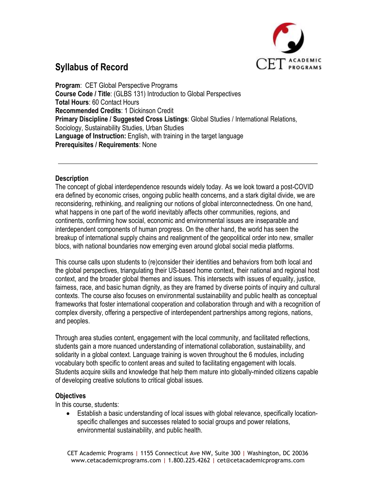

**Program**: CET Global Perspective Programs **Course Code / Title**: (GLBS 131) Introduction to Global Perspectives **Total Hours**: 60 Contact Hours **Recommended Credits**: 1 Dickinson Credit **Primary Discipline / Suggested Cross Listings**: Global Studies / International Relations, Sociology, Sustainability Studies, Urban Studies **Language of Instruction:** English, with training in the target language **Prerequisites / Requirements**: None

#### **Description**

The concept of global interdependence resounds widely today. As we look toward a post-COVID era defined by economic crises, ongoing public health concerns, and a stark digital divide, we are reconsidering, rethinking, and realigning our notions of global interconnectedness. On one hand, what happens in one part of the world inevitably affects other communities, regions, and continents, confirming how social, economic and environmental issues are inseparable and interdependent components of human progress. On the other hand, the world has seen the breakup of international supply chains and realignment of the geopolitical order into new, smaller blocs, with national boundaries now emerging even around global social media platforms.

This course calls upon students to (re)consider their identities and behaviors from both local and the global perspectives, triangulating their US-based home context, their national and regional host context, and the broader global themes and issues. This intersects with issues of equality, justice, fairness, race, and basic human dignity, as they are framed by diverse points of inquiry and cultural contexts. The course also focuses on environmental sustainability and public health as conceptual frameworks that foster international cooperation and collaboration through and with a recognition of complex diversity, offering a perspective of interdependent partnerships among regions, nations, and peoples.

Through area studies content, engagement with the local community, and facilitated reflections, students gain a more nuanced understanding of international collaboration, sustainability, and solidarity in a global context. Language training is woven throughout the 6 modules, including vocabulary both specific to content areas and suited to facilitating engagement with locals. Students acquire skills and knowledge that help them mature into globally-minded citizens capable of developing creative solutions to critical global issues.

#### **Objectives**

In this course, students:

• Establish a basic understanding of local issues with global relevance, specifically locationspecific challenges and successes related to social groups and power relations, environmental sustainability, and public health.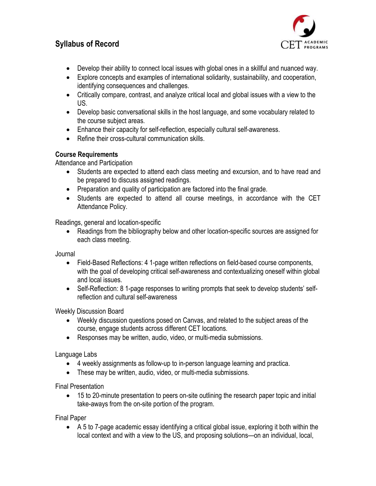

- Develop their ability to connect local issues with global ones in a skillful and nuanced way.
- Explore concepts and examples of international solidarity, sustainability, and cooperation, identifying consequences and challenges.
- Critically compare, contrast, and analyze critical local and global issues with a view to the US.
- Develop basic conversational skills in the host language, and some vocabulary related to the course subject areas.
- Enhance their capacity for self-reflection, especially cultural self-awareness.
- Refine their cross-cultural communication skills.

#### **Course Requirements**

Attendance and Participation

- Students are expected to attend each class meeting and excursion, and to have read and be prepared to discuss assigned readings.
- Preparation and quality of participation are factored into the final grade.
- Students are expected to attend all course meetings, in accordance with the CET Attendance Policy.

Readings, general and location-specific

• Readings from the bibliography below and other location-specific sources are assigned for each class meeting.

Journal

- Field-Based Reflections: 4 1-page written reflections on field-based course components, with the goal of developing critical self-awareness and contextualizing oneself within global and local issues.
- Self-Reflection: 8 1-page responses to writing prompts that seek to develop students' selfreflection and cultural self-awareness

Weekly Discussion Board

- Weekly discussion questions posed on Canvas, and related to the subject areas of the course, engage students across different CET locations.
- Responses may be written, audio, video, or multi-media submissions.

Language Labs

- 4 weekly assignments as follow-up to in-person language learning and practica.
- These may be written, audio, video, or multi-media submissions.

Final Presentation

• 15 to 20-minute presentation to peers on-site outlining the research paper topic and initial take-aways from the on-site portion of the program.

Final Paper

• A 5 to 7-page academic essay identifying a critical global issue, exploring it both within the local context and with a view to the US, and proposing solutions—on an individual, local,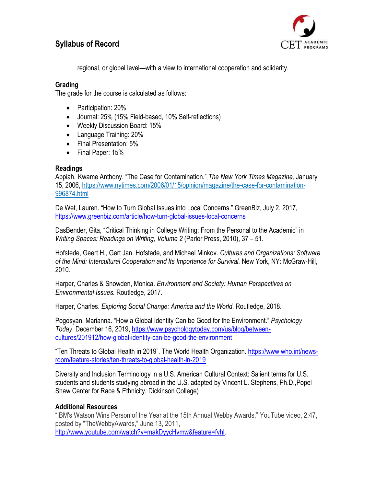

regional, or global level—with a view to international cooperation and solidarity.

### **Grading**

The grade for the course is calculated as follows:

- Participation: 20%
- Journal: 25% (15% Field-based, 10% Self-reflections)
- Weekly Discussion Board: 15%
- Language Training: 20%
- Final Presentation: 5%
- Final Paper: 15%

#### **Readings**

Appiah, Kwame Anthony. "The Case for Contamination." *The New York Times Magazine,* January 15, 2006, [https://www.nytimes.com/2006/01/15/opinion/magazine/the-case-for-contamination-](https://www.nytimes.com/2006/01/15/opinion/magazine/the-case-for-contamination-996874.html)[996874.html](https://www.nytimes.com/2006/01/15/opinion/magazine/the-case-for-contamination-996874.html)

De Wet, Lauren. "How to Turn Global Issues into Local Concerns." GreenBiz, July 2, 2017, <https://www.greenbiz.com/article/how-turn-global-issues-local-concerns>

DasBender, Gita, "Critical Thinking in College Writing: From the Personal to the Academic" in *Writing Spaces: Readings on Writing, Volume 2* (Parlor Press, 2010), 37 – 51.

Hofstede, Geert H., Gert Jan. Hofstede, and Michael Minkov. *Cultures and Organizations: Software of the Mind: Intercultural Cooperation and Its Importance for Survival.* New York, NY: McGraw-Hill, 2010.

Harper, Charles & Snowden, Monica. *Environment and Society: Human Perspectives on Environmental Issues.* Routledge, 2017.

Harper, Charles. *Exploring Social Change: America and the World*. Routledge, 2018.

Pogosyan, Marianna. "How a Global Identity Can be Good for the Environment." *Psychology Today*, December 16, 2019, [https://www.psychologytoday.com/us/blog/between](https://www.psychologytoday.com/us/blog/between-cultures/201912/how-global-identity-can-be-good-the-environment)[cultures/201912/how-global-identity-can-be-good-the-environment](https://www.psychologytoday.com/us/blog/between-cultures/201912/how-global-identity-can-be-good-the-environment)

"Ten Threats to Global Health in 2019". The World Health Organization. [https://www.who.int/news](https://www.who.int/news-room/feature-stories/ten-threats-to-global-health-in-2019)[room/feature-stories/ten-threats-to-global-health-in-2019](https://www.who.int/news-room/feature-stories/ten-threats-to-global-health-in-2019)

Diversity and Inclusion Terminology in a U.S. American Cultural Context: Salient terms for U.S. students and students studying abroad in the U.S. adapted by Vincent L. Stephens, Ph.D.,Popel Shaw Center for Race & Ethnicity, Dickinson College)

#### **Additional Resources**

"IBM's Watson Wins Person of the Year at the 15th Annual Webby Awards," YouTube video, 2:47, posted by "TheWebbyAwards," June 13, 2011, [http://www.youtube.com/watch?v=makDyycHvmw&feature=fvhl.](http://www.youtube.com/watch?v=makDyycHvmw&feature=fvhl)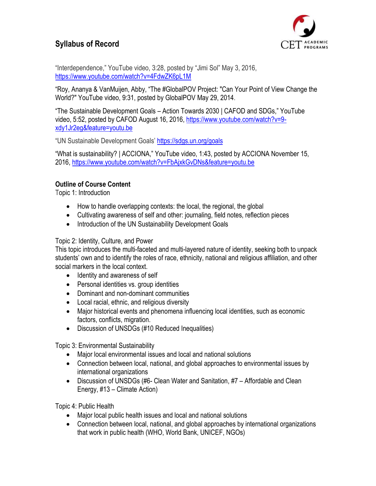

"Interdependence," YouTube video, 3:28, posted by "Jimi Sol" May 3, 2016, <https://www.youtube.com/watch?v=4FdwZK6pL1M>

"Roy, Ananya & VanMuijen, Abby, "The #GlobalPOV Project: "Can Your Point of View Change the World?" YouTube video, 9:31, posted by GlobalPOV May 29, 2014.

"The Sustainable Development Goals – Action Towards 2030 | CAFOD and SDGs," YouTube video, 5:52, posted by CAFOD August 16, 2016, [https://www.youtube.com/watch?v=9](https://www.youtube.com/watch?v=9-xdy1Jr2eg&feature=youtu.be) [xdy1Jr2eg&feature=youtu.be](https://www.youtube.com/watch?v=9-xdy1Jr2eg&feature=youtu.be)

"UN Sustainable Development Goals' <https://sdgs.un.org/goals>

"What is sustainability? | ACCIONA," YouTube video, 1:43, posted by ACCIONA November 15, 2016,<https://www.youtube.com/watch?v=FbAjxkGvDNs&feature=youtu.be>

### **Outline of Course Content**

Topic 1: Introduction

- How to handle overlapping contexts: the local, the regional, the global
- Cultivating awareness of self and other: journaling, field notes, reflection pieces
- Introduction of the UN Sustainability Development Goals

### Topic 2: Identity, Culture, and Power

This topic introduces the multi-faceted and multi-layered nature of identity, seeking both to unpack students' own and to identify the roles of race, ethnicity, national and religious affiliation, and other social markers in the local context.

- Identity and awareness of self
- Personal identities vs. group identities
- Dominant and non-dominant communities
- Local racial, ethnic, and religious diversity
- Major historical events and phenomena influencing local identities, such as economic factors, conflicts, migration.
- Discussion of UNSDGs (#10 Reduced Inequalities)

Topic 3: Environmental Sustainability

- Major local environmental issues and local and national solutions
- Connection between local, national, and global approaches to environmental issues by international organizations
- Discussion of UNSDGs (#6- Clean Water and Sanitation, #7 Affordable and Clean Energy, #13 – Climate Action)

Topic 4: Public Health

- Major local public health issues and local and national solutions
- Connection between local, national, and global approaches by international organizations that work in public health (WHO, World Bank, UNICEF, NGOs)